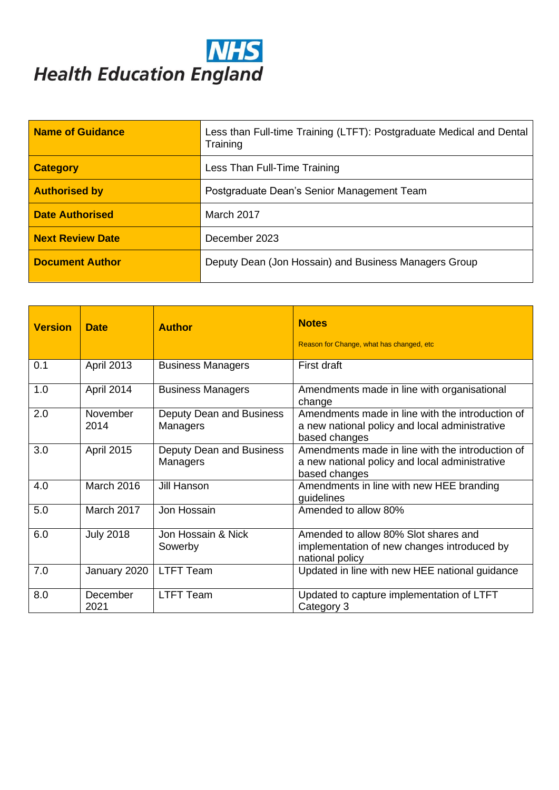# **NHS**<br>Health Education England

| <b>Name of Guidance</b> | Less than Full-time Training (LTFT): Postgraduate Medical and Dental<br>Training |  |
|-------------------------|----------------------------------------------------------------------------------|--|
| <b>Category</b>         | Less Than Full-Time Training                                                     |  |
| <b>Authorised by</b>    | Postgraduate Dean's Senior Management Team                                       |  |
| <b>Date Authorised</b>  | March 2017                                                                       |  |
| <b>Next Review Date</b> | December 2023                                                                    |  |
| <b>Document Author</b>  | Deputy Dean (Jon Hossain) and Business Managers Group                            |  |

| <b>Version</b> | <b>Date</b>       | <b>Author</b>                        | <b>Notes</b><br>Reason for Change, what has changed, etc.                                                           |
|----------------|-------------------|--------------------------------------|---------------------------------------------------------------------------------------------------------------------|
| 0.1            | <b>April 2013</b> | <b>Business Managers</b>             | First draft                                                                                                         |
| 1.0            | April 2014        | <b>Business Managers</b>             | Amendments made in line with organisational<br>change                                                               |
| 2.0            | November<br>2014  | Deputy Dean and Business<br>Managers | Amendments made in line with the introduction of<br>a new national policy and local administrative<br>based changes |
| 3.0            | <b>April 2015</b> | Deputy Dean and Business<br>Managers | Amendments made in line with the introduction of<br>a new national policy and local administrative<br>based changes |
| 4.0            | <b>March 2016</b> | <b>Jill Hanson</b>                   | Amendments in line with new HEE branding<br>guidelines                                                              |
| 5.0            | March 2017        | Jon Hossain                          | Amended to allow 80%                                                                                                |
| 6.0            | <b>July 2018</b>  | Jon Hossain & Nick<br>Sowerby        | Amended to allow 80% Slot shares and<br>implementation of new changes introduced by<br>national policy              |
| 7.0            | January 2020      | <b>LTFT Team</b>                     | Updated in line with new HEE national guidance                                                                      |
| 8.0            | December<br>2021  | <b>LTFT Team</b>                     | Updated to capture implementation of LTFT<br>Category 3                                                             |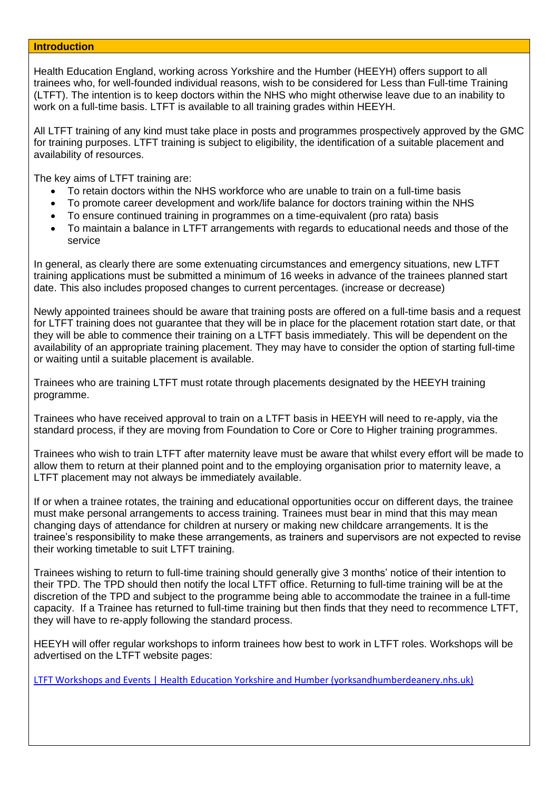#### **Introduction**

Health Education England, working across Yorkshire and the Humber (HEEYH) offers support to all trainees who, for well-founded individual reasons, wish to be considered for Less than Full-time Training (LTFT). The intention is to keep doctors within the NHS who might otherwise leave due to an inability to work on a full-time basis. LTFT is available to all training grades within HEEYH.

All LTFT training of any kind must take place in posts and programmes prospectively approved by the GMC for training purposes. LTFT training is subject to eligibility, the identification of a suitable placement and availability of resources.

The key aims of LTFT training are:

- To retain doctors within the NHS workforce who are unable to train on a full-time basis
- To promote career development and work/life balance for doctors training within the NHS
- To ensure continued training in programmes on a time-equivalent (pro rata) basis
- To maintain a balance in LTFT arrangements with regards to educational needs and those of the service

In general, as clearly there are some extenuating circumstances and emergency situations, new LTFT training applications must be submitted a minimum of 16 weeks in advance of the trainees planned start date. This also includes proposed changes to current percentages. (increase or decrease)

Newly appointed trainees should be aware that training posts are offered on a full-time basis and a request for LTFT training does not guarantee that they will be in place for the placement rotation start date, or that they will be able to commence their training on a LTFT basis immediately. This will be dependent on the availability of an appropriate training placement. They may have to consider the option of starting full-time or waiting until a suitable placement is available.

Trainees who are training LTFT must rotate through placements designated by the HEEYH training programme.

Trainees who have received approval to train on a LTFT basis in HEEYH will need to re-apply, via the standard process, if they are moving from Foundation to Core or Core to Higher training programmes.

Trainees who wish to train LTFT after maternity leave must be aware that whilst every effort will be made to allow them to return at their planned point and to the employing organisation prior to maternity leave, a LTFT placement may not always be immediately available.

If or when a trainee rotates, the training and educational opportunities occur on different days, the trainee must make personal arrangements to access training. Trainees must bear in mind that this may mean changing days of attendance for children at nursery or making new childcare arrangements. It is the trainee's responsibility to make these arrangements, as trainers and supervisors are not expected to revise their working timetable to suit LTFT training.

Trainees wishing to return to full-time training should generally give 3 months' notice of their intention to their TPD. The TPD should then notify the local LTFT office. Returning to full-time training will be at the discretion of the TPD and subject to the programme being able to accommodate the trainee in a full-time capacity. If a Trainee has returned to full-time training but then finds that they need to recommence LTFT, they will have to re-apply following the standard process.

HEEYH will offer regular workshops to inform trainees how best to work in LTFT roles. Workshops will be advertised on the LTFT website pages:

[LTFT Workshops and Events | Health Education Yorkshire and Humber \(yorksandhumberdeanery.nhs.uk\)](https://www.yorksandhumberdeanery.nhs.uk/learner_support/policies-less-full-time/ltft-workshops-and-events)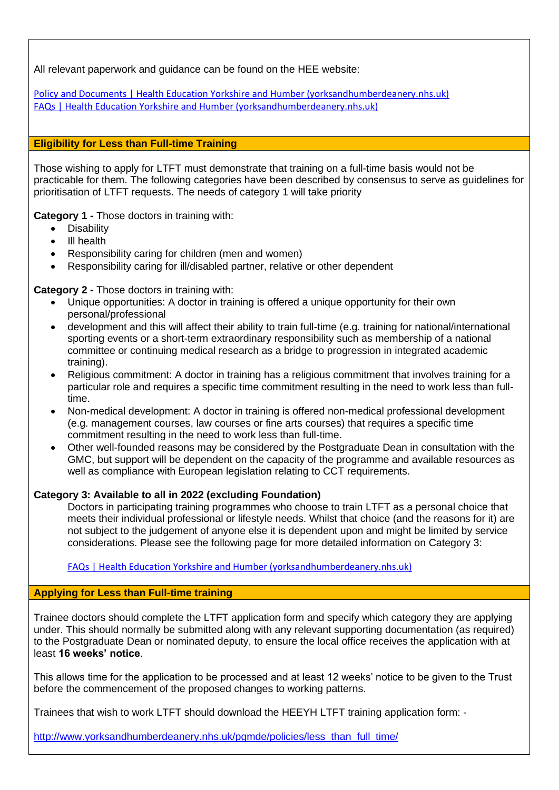All relevant paperwork and guidance can be found on the HEE website:

[Policy and Documents | Health Education Yorkshire and Humber \(yorksandhumberdeanery.nhs.uk\)](https://www.yorksandhumberdeanery.nhs.uk/learner_support/policies-less-full-time/policy-and-documents) [FAQs | Health Education Yorkshire and Humber \(yorksandhumberdeanery.nhs.uk\)](https://www.yorksandhumberdeanery.nhs.uk/learner_support/policies-less-full-time/faqs)

## **Eligibility for Less than Full-time Training**

Those wishing to apply for LTFT must demonstrate that training on a full-time basis would not be practicable for them. The following categories have been described by consensus to serve as guidelines for prioritisation of LTFT requests. The needs of category 1 will take priority

**Category 1 -** Those doctors in training with:

- Disability
- Ill health
- Responsibility caring for children (men and women)
- Responsibility caring for ill/disabled partner, relative or other dependent

**Category 2 -** Those doctors in training with:

- Unique opportunities: A doctor in training is offered a unique opportunity for their own personal/professional
- development and this will affect their ability to train full-time (e.g. training for national/international sporting events or a short-term extraordinary responsibility such as membership of a national committee or continuing medical research as a bridge to progression in integrated academic training).
- Religious commitment: A doctor in training has a religious commitment that involves training for a particular role and requires a specific time commitment resulting in the need to work less than fulltime.
- Non-medical development: A doctor in training is offered non-medical professional development (e.g. management courses, law courses or fine arts courses) that requires a specific time commitment resulting in the need to work less than full-time.
- Other well-founded reasons may be considered by the Postgraduate Dean in consultation with the GMC, but support will be dependent on the capacity of the programme and available resources as well as compliance with European legislation relating to CCT requirements.

# **Category 3: Available to all in 2022 (excluding Foundation)**

Doctors in participating training programmes who choose to train LTFT as a personal choice that meets their individual professional or lifestyle needs. Whilst that choice (and the reasons for it) are not subject to the judgement of anyone else it is dependent upon and might be limited by service considerations. Please see the following page for more detailed information on Category 3:

[FAQs | Health Education Yorkshire and Humber \(yorksandhumberdeanery.nhs.uk\)](https://www.yorksandhumberdeanery.nhs.uk/learner_support/policies-less-full-time/faqs)

# **Applying for Less than Full-time training**

Trainee doctors should complete the LTFT application form and specify which category they are applying under. This should normally be submitted along with any relevant supporting documentation (as required) to the Postgraduate Dean or nominated deputy, to ensure the local office receives the application with at least **16 weeks' notice**.

This allows time for the application to be processed and at least 12 weeks' notice to be given to the Trust before the commencement of the proposed changes to working patterns.

Trainees that wish to work LTFT should download the HEEYH LTFT training application form: -

http://www.yorksandhumberdeanery.nhs.uk/pamde/policies/less\_than\_full\_time/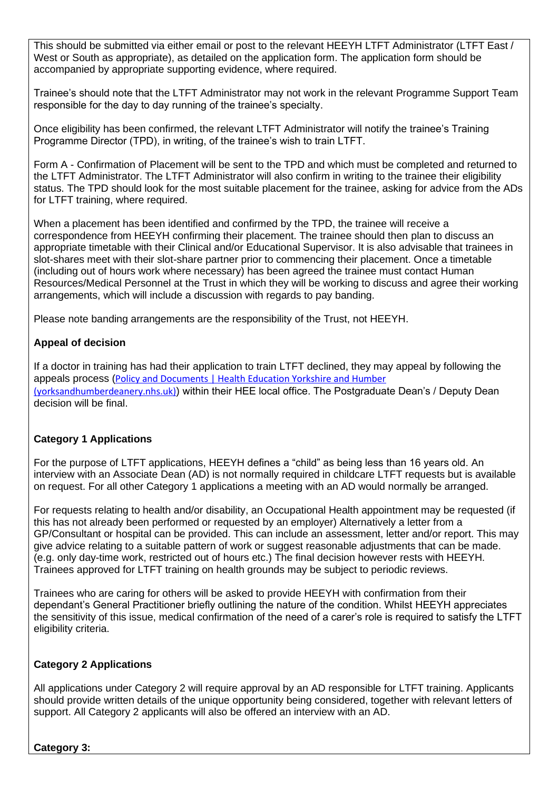This should be submitted via either email or post to the relevant HEEYH LTFT Administrator (LTFT East / West or South as appropriate), as detailed on the application form. The application form should be accompanied by appropriate supporting evidence, where required.

Trainee's should note that the LTFT Administrator may not work in the relevant Programme Support Team responsible for the day to day running of the trainee's specialty.

Once eligibility has been confirmed, the relevant LTFT Administrator will notify the trainee's Training Programme Director (TPD), in writing, of the trainee's wish to train LTFT.

Form A - Confirmation of Placement will be sent to the TPD and which must be completed and returned to the LTFT Administrator. The LTFT Administrator will also confirm in writing to the trainee their eligibility status. The TPD should look for the most suitable placement for the trainee, asking for advice from the ADs for LTFT training, where required.

When a placement has been identified and confirmed by the TPD, the trainee will receive a correspondence from HEEYH confirming their placement. The trainee should then plan to discuss an appropriate timetable with their Clinical and/or Educational Supervisor. It is also advisable that trainees in slot-shares meet with their slot-share partner prior to commencing their placement. Once a timetable (including out of hours work where necessary) has been agreed the trainee must contact Human Resources/Medical Personnel at the Trust in which they will be working to discuss and agree their working arrangements, which will include a discussion with regards to pay banding.

Please note banding arrangements are the responsibility of the Trust, not HEEYH.

# **Appeal of decision**

If a doctor in training has had their application to train LTFT declined, they may appeal by following the appeals process ([Policy and Documents | Health Education Yorkshire and Humber](https://www.yorksandhumberdeanery.nhs.uk/learner_support/policies-less-full-time/policy-and-documents)  [\(yorksandhumberdeanery.nhs.uk\)](https://www.yorksandhumberdeanery.nhs.uk/learner_support/policies-less-full-time/policy-and-documents)) within their HEE local office. The Postgraduate Dean's / Deputy Dean decision will be final.

# **Category 1 Applications**

For the purpose of LTFT applications, HEEYH defines a "child" as being less than 16 years old. An interview with an Associate Dean (AD) is not normally required in childcare LTFT requests but is available on request. For all other Category 1 applications a meeting with an AD would normally be arranged.

For requests relating to health and/or disability, an Occupational Health appointment may be requested (if this has not already been performed or requested by an employer) Alternatively a letter from a GP/Consultant or hospital can be provided. This can include an assessment, letter and/or report. This may give advice relating to a suitable pattern of work or suggest reasonable adjustments that can be made. (e.g. only day-time work, restricted out of hours etc.) The final decision however rests with HEEYH. Trainees approved for LTFT training on health grounds may be subject to periodic reviews.

Trainees who are caring for others will be asked to provide HEEYH with confirmation from their dependant's General Practitioner briefly outlining the nature of the condition. Whilst HEEYH appreciates the sensitivity of this issue, medical confirmation of the need of a carer's role is required to satisfy the LTFT eligibility criteria.

# **Category 2 Applications**

All applications under Category 2 will require approval by an AD responsible for LTFT training. Applicants should provide written details of the unique opportunity being considered, together with relevant letters of support. All Category 2 applicants will also be offered an interview with an AD.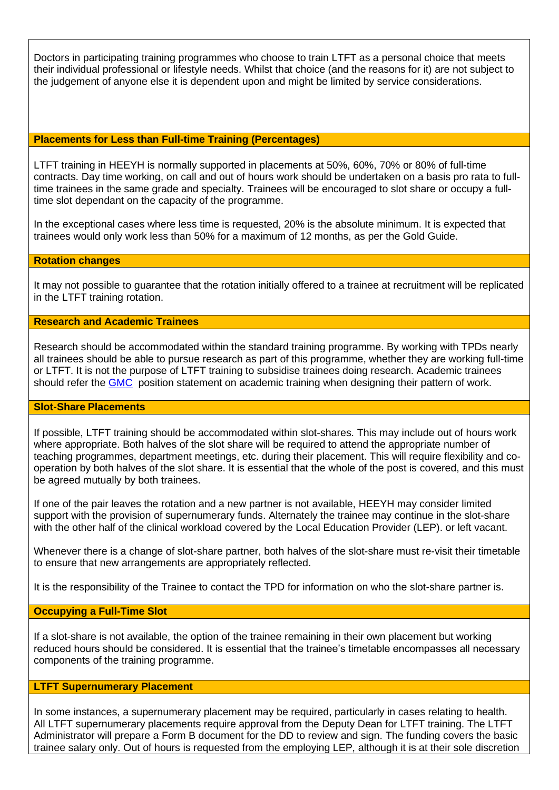Doctors in participating training programmes who choose to train LTFT as a personal choice that meets their individual professional or lifestyle needs. Whilst that choice (and the reasons for it) are not subject to the judgement of anyone else it is dependent upon and might be limited by service considerations.

## **Placements for Less than Full-time Training (Percentages)**

LTFT training in HEEYH is normally supported in placements at 50%, 60%, 70% or 80% of full-time contracts. Day time working, on call and out of hours work should be undertaken on a basis pro rata to fulltime trainees in the same grade and specialty. Trainees will be encouraged to slot share or occupy a fulltime slot dependant on the capacity of the programme.

In the exceptional cases where less time is requested, 20% is the absolute minimum. It is expected that trainees would only work less than 50% for a maximum of 12 months, as per the Gold Guide.

#### **Rotation changes**

It may not possible to guarantee that the rotation initially offered to a trainee at recruitment will be replicated in the LTFT training rotation.

#### **Research and Academic Trainees**

Research should be accommodated within the standard training programme. By working with TPDs nearly all trainees should be able to pursue research as part of this programme, whether they are working full-time or LTFT. It is not the purpose of LTFT training to subsidise trainees doing research. Academic trainees should refer the **[GMC](https://www.gmc-uk.org/-/media/documents/less-than-full-time-training-position-statement-nov-17_pdf-72374278.pdf)** position statement on academic training when designing their pattern of work.

#### **Slot-Share Placements**

If possible, LTFT training should be accommodated within slot-shares. This may include out of hours work where appropriate. Both halves of the slot share will be required to attend the appropriate number of teaching programmes, department meetings, etc. during their placement. This will require flexibility and cooperation by both halves of the slot share. It is essential that the whole of the post is covered, and this must be agreed mutually by both trainees.

If one of the pair leaves the rotation and a new partner is not available, HEEYH may consider limited support with the provision of supernumerary funds. Alternately the trainee may continue in the slot-share with the other half of the clinical workload covered by the Local Education Provider (LEP). or left vacant.

Whenever there is a change of slot-share partner, both halves of the slot-share must re-visit their timetable to ensure that new arrangements are appropriately reflected.

It is the responsibility of the Trainee to contact the TPD for information on who the slot-share partner is.

#### **Occupying a Full-Time Slot**

If a slot-share is not available, the option of the trainee remaining in their own placement but working reduced hours should be considered. It is essential that the trainee's timetable encompasses all necessary components of the training programme.

#### **LTFT Supernumerary Placement**

In some instances, a supernumerary placement may be required, particularly in cases relating to health. All LTFT supernumerary placements require approval from the Deputy Dean for LTFT training. The LTFT Administrator will prepare a Form B document for the DD to review and sign. The funding covers the basic trainee salary only. Out of hours is requested from the employing LEP, although it is at their sole discretion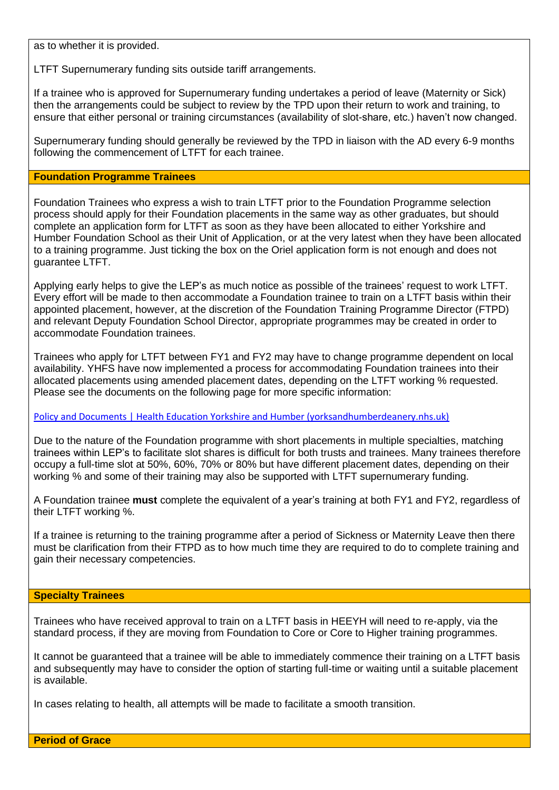as to whether it is provided.

LTFT Supernumerary funding sits outside tariff arrangements.

If a trainee who is approved for Supernumerary funding undertakes a period of leave (Maternity or Sick) then the arrangements could be subject to review by the TPD upon their return to work and training, to ensure that either personal or training circumstances (availability of slot-share, etc.) haven't now changed.

Supernumerary funding should generally be reviewed by the TPD in liaison with the AD every 6-9 months following the commencement of LTFT for each trainee.

#### **Foundation Programme Trainees**

Foundation Trainees who express a wish to train LTFT prior to the Foundation Programme selection process should apply for their Foundation placements in the same way as other graduates, but should complete an application form for LTFT as soon as they have been allocated to either Yorkshire and Humber Foundation School as their Unit of Application, or at the very latest when they have been allocated to a training programme. Just ticking the box on the Oriel application form is not enough and does not guarantee LTFT.

Applying early helps to give the LEP's as much notice as possible of the trainees' request to work LTFT. Every effort will be made to then accommodate a Foundation trainee to train on a LTFT basis within their appointed placement, however, at the discretion of the Foundation Training Programme Director (FTPD) and relevant Deputy Foundation School Director, appropriate programmes may be created in order to accommodate Foundation trainees.

Trainees who apply for LTFT between FY1 and FY2 may have to change programme dependent on local availability. YHFS have now implemented a process for accommodating Foundation trainees into their allocated placements using amended placement dates, depending on the LTFT working % requested. Please see the documents on the following page for more specific information:

#### [Policy and Documents | Health Education Yorkshire and Humber \(yorksandhumberdeanery.nhs.uk\)](https://www.yorksandhumberdeanery.nhs.uk/learner_support/policies-less-full-time/policy-and-documents)

Due to the nature of the Foundation programme with short placements in multiple specialties, matching trainees within LEP's to facilitate slot shares is difficult for both trusts and trainees. Many trainees therefore occupy a full-time slot at 50%, 60%, 70% or 80% but have different placement dates, depending on their working % and some of their training may also be supported with LTFT supernumerary funding.

A Foundation trainee **must** complete the equivalent of a year's training at both FY1 and FY2, regardless of their LTFT working %.

If a trainee is returning to the training programme after a period of Sickness or Maternity Leave then there must be clarification from their FTPD as to how much time they are required to do to complete training and gain their necessary competencies.

#### **Specialty Trainees**

Trainees who have received approval to train on a LTFT basis in HEEYH will need to re-apply, via the standard process, if they are moving from Foundation to Core or Core to Higher training programmes.

It cannot be guaranteed that a trainee will be able to immediately commence their training on a LTFT basis and subsequently may have to consider the option of starting full-time or waiting until a suitable placement is available.

In cases relating to health, all attempts will be made to facilitate a smooth transition.